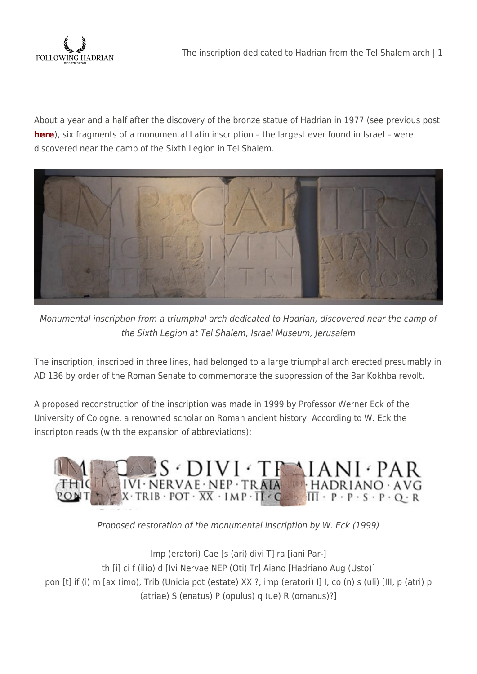

About a year and a half after the discovery of the bronze statue of Hadrian in 1977 (see previous post **[here](http://followinghadrian.com/2014/10/28/bronze-statue-of-hadrian-from-the-legionary-camp-at-tel-shalem-judaea-israel-museum/)**), six fragments of a monumental Latin inscription – the largest ever found in Israel – were discovered near the camp of the Sixth Legion in Tel Shalem.



Monumental inscription from a triumphal arch dedicated to Hadrian, discovered near the camp of the Sixth Legion at Tel Shalem, Israel Museum, Jerusalem

The inscription, inscribed in three lines, had belonged to a large triumphal arch erected presumably in AD 136 by order of the Roman Senate to commemorate the suppression of the Bar Kokhba revolt.

A proposed reconstruction of the inscription was made in 1999 by Professor Werner Eck of the University of Cologne, a renowned scholar on Roman ancient history. According to W. Eck the inscripton reads (with the expansion of abbreviations):



Proposed restoration of the monumental inscription by W. Eck (1999)

Imp (eratori) Cae [s (ari) divi T] ra [iani Par-] th [i] ci f (ilio) d [Ivi Nervae NEP (Oti) Tr] Aiano [Hadriano Aug (Usto)] pon [t] if (i) m [ax (imo), Trib (Unicia pot (estate) XX ?, imp (eratori) I] I, co (n) s (uli) [III, p (atri) p (atriae) S (enatus) P (opulus) q (ue) R (omanus)?]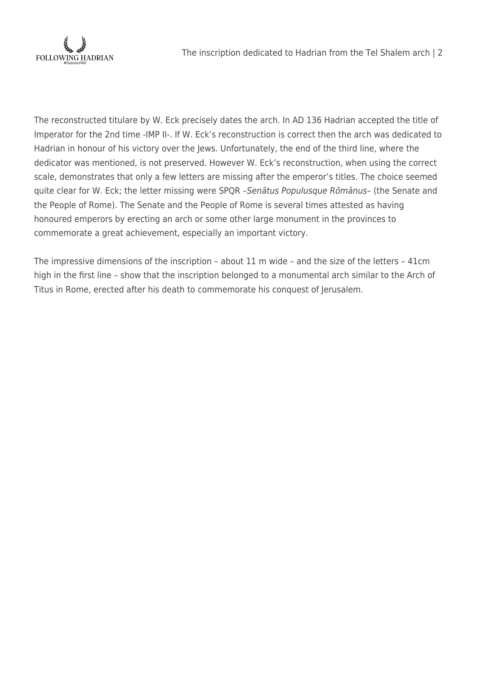

The reconstructed titulare by W. Eck precisely dates the arch. In AD 136 Hadrian accepted the title of Imperator for the 2nd time -IMP II-. If W. Eck's reconstruction is correct then the arch was dedicated to Hadrian in honour of his victory over the Jews. Unfortunately, the end of the third line, where the dedicator was mentioned, is not preserved. However W. Eck's reconstruction, when using the correct scale, demonstrates that only a few letters are missing after the emperor's titles. The choice seemed quite clear for W. Eck; the letter missing were SPQR –Senātus Populusque Rōmānus– (the Senate and the People of Rome). The Senate and the People of Rome is several times attested as having honoured emperors by erecting an arch or some other large monument in the provinces to commemorate a great achievement, especially an important victory.

The impressive dimensions of the inscription – about 11 m wide – and the size of the letters – 41cm high in the first line – show that the inscription belonged to a monumental arch similar to the Arch of Titus in Rome, erected after his death to commemorate his conquest of Jerusalem.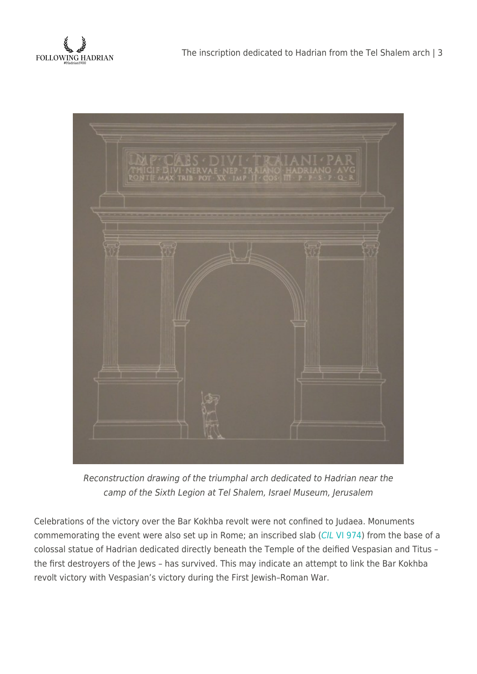



Reconstruction drawing of the triumphal arch dedicated to Hadrian near the camp of the Sixth Legion at Tel Shalem, Israel Museum, Jerusalem

Celebrations of the victory over the Bar Kokhba revolt were not confined to Judaea. Monuments commemorating the event were also set up in Rome; an inscribed slab ([CIL](http://www.edr-edr.it/edr_programmi/res_complex_comune.php?do=book&id_nr=EDR092946&partId=1) [VI 974](http://www.edr-edr.it/edr_programmi/res_complex_comune.php?do=book&id_nr=EDR092946&partId=1)) from the base of a colossal statue of Hadrian dedicated directly beneath the Temple of the deified Vespasian and Titus – the first destroyers of the Jews – has survived. This may indicate an attempt to link the Bar Kokhba revolt victory with Vespasian's victory during the First Jewish–Roman War.